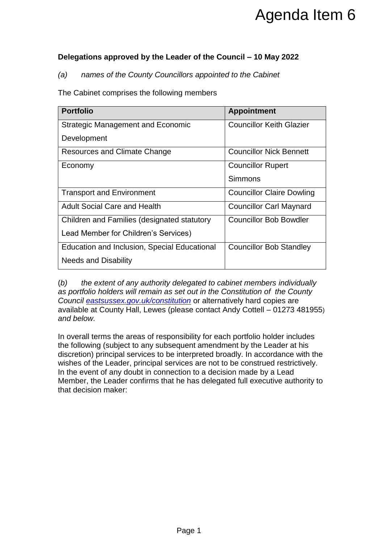## **Delegations approved by the Leader of the Council – 10 May 2022**

|                                                                                                                                                                                                                                                                                                                                                                                                                                                                                                                                                                                                                                                                                                                                                                                                                                                              | Agenda Item 6                    |
|--------------------------------------------------------------------------------------------------------------------------------------------------------------------------------------------------------------------------------------------------------------------------------------------------------------------------------------------------------------------------------------------------------------------------------------------------------------------------------------------------------------------------------------------------------------------------------------------------------------------------------------------------------------------------------------------------------------------------------------------------------------------------------------------------------------------------------------------------------------|----------------------------------|
|                                                                                                                                                                                                                                                                                                                                                                                                                                                                                                                                                                                                                                                                                                                                                                                                                                                              |                                  |
| Delegations approved by the Leader of the Council - 10 May 2022                                                                                                                                                                                                                                                                                                                                                                                                                                                                                                                                                                                                                                                                                                                                                                                              |                                  |
| names of the County Councillors appointed to the Cabinet<br>(a)                                                                                                                                                                                                                                                                                                                                                                                                                                                                                                                                                                                                                                                                                                                                                                                              |                                  |
| The Cabinet comprises the following members                                                                                                                                                                                                                                                                                                                                                                                                                                                                                                                                                                                                                                                                                                                                                                                                                  |                                  |
| <b>Portfolio</b>                                                                                                                                                                                                                                                                                                                                                                                                                                                                                                                                                                                                                                                                                                                                                                                                                                             | <b>Appointment</b>               |
| <b>Strategic Management and Economic</b>                                                                                                                                                                                                                                                                                                                                                                                                                                                                                                                                                                                                                                                                                                                                                                                                                     | <b>Councillor Keith Glazier</b>  |
| Development                                                                                                                                                                                                                                                                                                                                                                                                                                                                                                                                                                                                                                                                                                                                                                                                                                                  |                                  |
| <b>Resources and Climate Change</b>                                                                                                                                                                                                                                                                                                                                                                                                                                                                                                                                                                                                                                                                                                                                                                                                                          | <b>Councillor Nick Bennett</b>   |
| Economy                                                                                                                                                                                                                                                                                                                                                                                                                                                                                                                                                                                                                                                                                                                                                                                                                                                      | <b>Councillor Rupert</b>         |
|                                                                                                                                                                                                                                                                                                                                                                                                                                                                                                                                                                                                                                                                                                                                                                                                                                                              | <b>Simmons</b>                   |
| <b>Transport and Environment</b>                                                                                                                                                                                                                                                                                                                                                                                                                                                                                                                                                                                                                                                                                                                                                                                                                             | <b>Councillor Claire Dowling</b> |
| <b>Adult Social Care and Health</b>                                                                                                                                                                                                                                                                                                                                                                                                                                                                                                                                                                                                                                                                                                                                                                                                                          | <b>Councillor Carl Maynard</b>   |
| Children and Families (designated statutory                                                                                                                                                                                                                                                                                                                                                                                                                                                                                                                                                                                                                                                                                                                                                                                                                  | <b>Councillor Bob Bowdler</b>    |
| Lead Member for Children's Services)                                                                                                                                                                                                                                                                                                                                                                                                                                                                                                                                                                                                                                                                                                                                                                                                                         |                                  |
| <b>Education and Inclusion, Special Educational</b>                                                                                                                                                                                                                                                                                                                                                                                                                                                                                                                                                                                                                                                                                                                                                                                                          | <b>Councillor Bob Standley</b>   |
| <b>Needs and Disability</b>                                                                                                                                                                                                                                                                                                                                                                                                                                                                                                                                                                                                                                                                                                                                                                                                                                  |                                  |
| (b)<br>the extent of any authority delegated to cabinet members individually<br>as portfolio holders will remain as set out in the Constitution of the County<br>Council eastsussex.gov.uk/constitution or alternatively hard copies are<br>available at County Hall, Lewes (please contact Andy Cottell - 01273 481955)<br>and below.<br>In overall terms the areas of responsibility for each portfolio holder includes<br>the following (subject to any subsequent amendment by the Leader at his<br>discretion) principal services to be interpreted broadly. In accordance with the<br>wishes of the Leader, principal services are not to be construed restrictively.<br>In the event of any doubt in connection to a decision made by a Lead<br>Member, the Leader confirms that he has delegated full executive authority to<br>that decision maker: |                                  |
|                                                                                                                                                                                                                                                                                                                                                                                                                                                                                                                                                                                                                                                                                                                                                                                                                                                              |                                  |
| Page 1                                                                                                                                                                                                                                                                                                                                                                                                                                                                                                                                                                                                                                                                                                                                                                                                                                                       |                                  |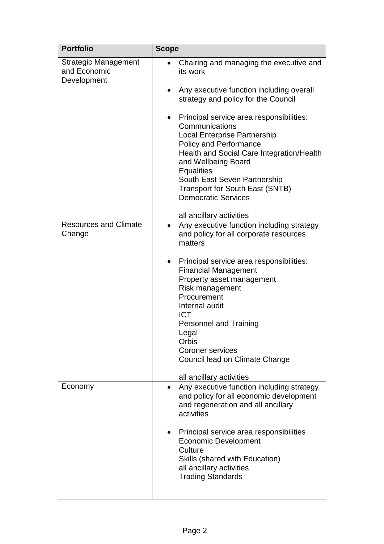| <b>Portfolio</b>                                           | <b>Scope</b>                                                                                                                                                                                                                                                                                                                                                                                                                                                                  |
|------------------------------------------------------------|-------------------------------------------------------------------------------------------------------------------------------------------------------------------------------------------------------------------------------------------------------------------------------------------------------------------------------------------------------------------------------------------------------------------------------------------------------------------------------|
| <b>Strategic Management</b><br>and Economic<br>Development | Chairing and managing the executive and<br>its work<br>Any executive function including overall<br>strategy and policy for the Council<br>Principal service area responsibilities:<br>Communications<br><b>Local Enterprise Partnership</b><br><b>Policy and Performance</b><br>Health and Social Care Integration/Health<br>and Wellbeing Board<br><b>Equalities</b><br>South East Seven Partnership<br><b>Transport for South East (SNTB)</b><br><b>Democratic Services</b> |
|                                                            | all ancillary activities                                                                                                                                                                                                                                                                                                                                                                                                                                                      |
| <b>Resources and Climate</b><br>Change                     | Any executive function including strategy<br>and policy for all corporate resources<br>matters<br>Principal service area responsibilities:<br>$\bullet$<br><b>Financial Management</b><br>Property asset management<br>Risk management<br>Procurement<br>Internal audit<br><b>ICT</b><br><b>Personnel and Training</b><br>Legal<br>Orbis<br><b>Coroner services</b><br>Council lead on Climate Change<br>all ancillary activities                                             |
| Economy                                                    | Any executive function including strategy<br>and policy for all economic development<br>and regeneration and all ancillary<br>activities<br>Principal service area responsibilities<br><b>Economic Development</b><br>Culture<br>Skills (shared with Education)<br>all ancillary activities<br><b>Trading Standards</b>                                                                                                                                                       |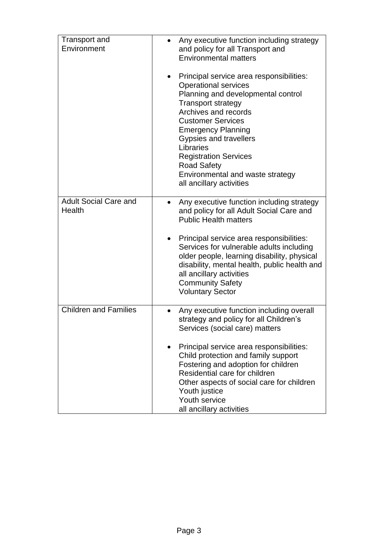| Transport and<br>Environment           | Any executive function including strategy<br>and policy for all Transport and<br><b>Environmental matters</b>                                                                                                                                                                                                                                                                                   |
|----------------------------------------|-------------------------------------------------------------------------------------------------------------------------------------------------------------------------------------------------------------------------------------------------------------------------------------------------------------------------------------------------------------------------------------------------|
|                                        | Principal service area responsibilities:<br><b>Operational services</b><br>Planning and developmental control<br><b>Transport strategy</b><br>Archives and records<br><b>Customer Services</b><br><b>Emergency Planning</b><br><b>Gypsies and travellers</b><br>Libraries<br><b>Registration Services</b><br><b>Road Safety</b><br>Environmental and waste strategy<br>all ancillary activities |
| <b>Adult Social Care and</b><br>Health | Any executive function including strategy<br>٠<br>and policy for all Adult Social Care and<br><b>Public Health matters</b>                                                                                                                                                                                                                                                                      |
|                                        | Principal service area responsibilities:<br>Services for vulnerable adults including<br>older people, learning disability, physical<br>disability, mental health, public health and<br>all ancillary activities<br><b>Community Safety</b><br><b>Voluntary Sector</b>                                                                                                                           |
| <b>Children and Families</b>           | Any executive function including overall<br>$\bullet$<br>strategy and policy for all Children's<br>Services (social care) matters                                                                                                                                                                                                                                                               |
|                                        | Principal service area responsibilities:<br>Child protection and family support<br>Fostering and adoption for children<br>Residential care for children<br>Other aspects of social care for children<br>Youth justice<br>Youth service<br>all ancillary activities                                                                                                                              |